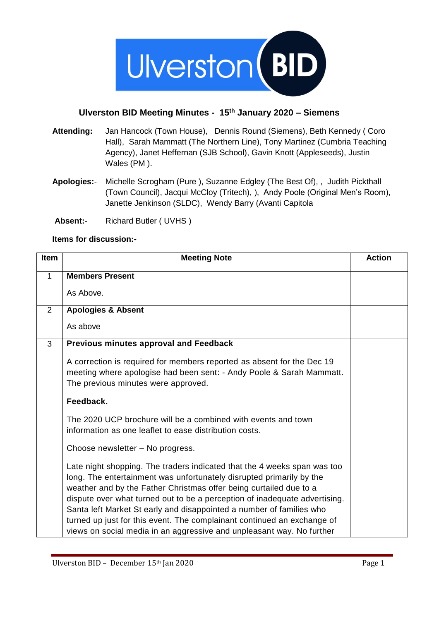

## **Ulverston BID Meeting Minutes - 15th January 2020 – Siemens**

- **Attending:** Jan Hancock (Town House), Dennis Round (Siemens), Beth Kennedy ( Coro Hall), Sarah Mammatt (The Northern Line), Tony Martinez (Cumbria Teaching Agency), Janet Heffernan (SJB School), Gavin Knott (Appleseeds), Justin Wales (PM ).
- **Apologies:** Michelle Scrogham (Pure ), Suzanne Edgley (The Best Of), , Judith Pickthall (Town Council), Jacqui McCloy (Tritech), ), Andy Poole (Original Men's Room), Janette Jenkinson (SLDC), Wendy Barry (Avanti Capitola
- **Absent:** Richard Butler ( UVHS )

## **Items for discussion:-**

| <b>Item</b>  | <b>Meeting Note</b>                                                                                                                                                                                                                                                                                                                                                                                                                                                                                                              | <b>Action</b> |
|--------------|----------------------------------------------------------------------------------------------------------------------------------------------------------------------------------------------------------------------------------------------------------------------------------------------------------------------------------------------------------------------------------------------------------------------------------------------------------------------------------------------------------------------------------|---------------|
| $\mathbf{1}$ | <b>Members Present</b>                                                                                                                                                                                                                                                                                                                                                                                                                                                                                                           |               |
|              | As Above.                                                                                                                                                                                                                                                                                                                                                                                                                                                                                                                        |               |
| 2            | <b>Apologies &amp; Absent</b>                                                                                                                                                                                                                                                                                                                                                                                                                                                                                                    |               |
|              | As above                                                                                                                                                                                                                                                                                                                                                                                                                                                                                                                         |               |
| 3            | Previous minutes approval and Feedback                                                                                                                                                                                                                                                                                                                                                                                                                                                                                           |               |
|              | A correction is required for members reported as absent for the Dec 19<br>meeting where apologise had been sent: - Andy Poole & Sarah Mammatt.<br>The previous minutes were approved.                                                                                                                                                                                                                                                                                                                                            |               |
|              | Feedback.                                                                                                                                                                                                                                                                                                                                                                                                                                                                                                                        |               |
|              | The 2020 UCP brochure will be a combined with events and town<br>information as one leaflet to ease distribution costs.                                                                                                                                                                                                                                                                                                                                                                                                          |               |
|              | Choose newsletter - No progress.                                                                                                                                                                                                                                                                                                                                                                                                                                                                                                 |               |
|              | Late night shopping. The traders indicated that the 4 weeks span was too<br>long. The entertainment was unfortunately disrupted primarily by the<br>weather and by the Father Christmas offer being curtailed due to a<br>dispute over what turned out to be a perception of inadequate advertising.<br>Santa left Market St early and disappointed a number of families who<br>turned up just for this event. The complainant continued an exchange of<br>views on social media in an aggressive and unpleasant way. No further |               |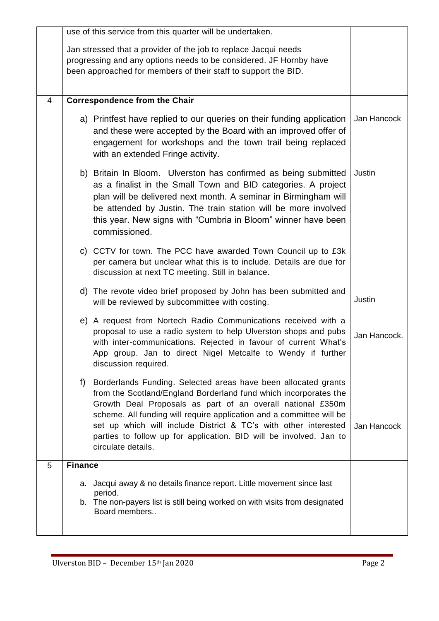|   | use of this service from this quarter will be undertaken.                                                                                                                                                                                                                                                                                                                                                                                     |              |
|---|-----------------------------------------------------------------------------------------------------------------------------------------------------------------------------------------------------------------------------------------------------------------------------------------------------------------------------------------------------------------------------------------------------------------------------------------------|--------------|
|   | Jan stressed that a provider of the job to replace Jacqui needs<br>progressing and any options needs to be considered. JF Hornby have<br>been approached for members of their staff to support the BID.                                                                                                                                                                                                                                       |              |
| 4 | <b>Correspondence from the Chair</b>                                                                                                                                                                                                                                                                                                                                                                                                          |              |
|   | a) Printfest have replied to our queries on their funding application<br>and these were accepted by the Board with an improved offer of<br>engagement for workshops and the town trail being replaced<br>with an extended Fringe activity.                                                                                                                                                                                                    | Jan Hancock  |
|   | b) Britain In Bloom. Ulverston has confirmed as being submitted<br>as a finalist in the Small Town and BID categories. A project<br>plan will be delivered next month. A seminar in Birmingham will<br>be attended by Justin. The train station will be more involved<br>this year. New signs with "Cumbria in Bloom" winner have been<br>commissioned.                                                                                       | Justin       |
|   | c) CCTV for town. The PCC have awarded Town Council up to £3k<br>per camera but unclear what this is to include. Details are due for<br>discussion at next TC meeting. Still in balance.                                                                                                                                                                                                                                                      |              |
|   | d) The revote video brief proposed by John has been submitted and<br>will be reviewed by subcommittee with costing.                                                                                                                                                                                                                                                                                                                           | Justin       |
|   | e) A request from Nortech Radio Communications received with a<br>proposal to use a radio system to help Ulverston shops and pubs<br>with inter-communications. Rejected in favour of current What's<br>App group. Jan to direct Nigel Metcalfe to Wendy if further<br>discussion required.                                                                                                                                                   | Jan Hancock. |
|   | f)<br>Borderlands Funding. Selected areas have been allocated grants<br>from the Scotland/England Borderland fund which incorporates the<br>Growth Deal Proposals as part of an overall national £350m<br>scheme. All funding will require application and a committee will be<br>set up which will include District & TC's with other interested<br>parties to follow up for application. BID will be involved. Jan to<br>circulate details. | Jan Hancock  |
| 5 | <b>Finance</b>                                                                                                                                                                                                                                                                                                                                                                                                                                |              |
|   | a. Jacqui away & no details finance report. Little movement since last<br>period.<br>b. The non-payers list is still being worked on with visits from designated<br>Board members                                                                                                                                                                                                                                                             |              |